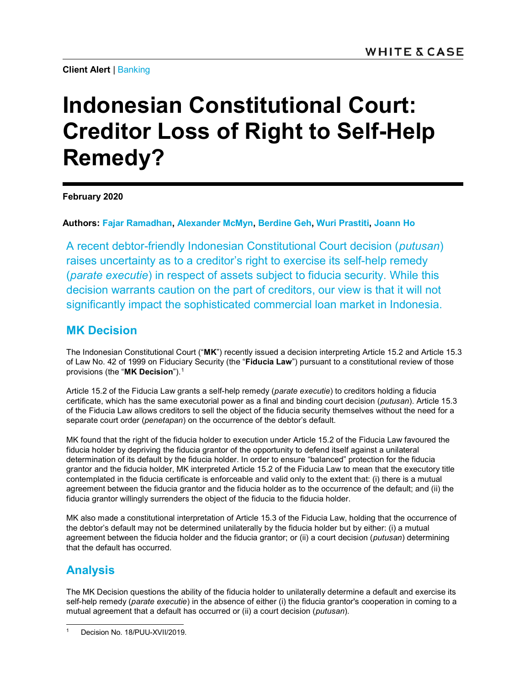Client Alert | Banking

# Indonesian Constitutional Court: Creditor Loss of Right to Self-Help Remedy?

February 2020

Authors: Fajar Ramadhan, Alexander McMyn, Berdine Geh, Wuri Prastiti, Joann Ho

A recent debtor-friendly Indonesian Constitutional Court decision (putusan) raises uncertainty as to a creditor's right to exercise its self-help remedy (parate executie) in respect of assets subject to fiducia security. While this decision warrants caution on the part of creditors, our view is that it will not significantly impact the sophisticated commercial loan market in Indonesia.

## MK Decision

The Indonesian Constitutional Court ("MK") recently issued a decision interpreting Article 15.2 and Article 15.3 of Law No. 42 of 1999 on Fiduciary Security (the "Fiducia Law") pursuant to a constitutional review of those provisions (the "MK Decision").<sup>1</sup>

Article 15.2 of the Fiducia Law grants a self-help remedy (parate executie) to creditors holding a fiducia certificate, which has the same executorial power as a final and binding court decision (putusan). Article 15.3 of the Fiducia Law allows creditors to sell the object of the fiducia security themselves without the need for a separate court order (penetapan) on the occurrence of the debtor's default.

MK found that the right of the fiducia holder to execution under Article 15.2 of the Fiducia Law favoured the fiducia holder by depriving the fiducia grantor of the opportunity to defend itself against a unilateral determination of its default by the fiducia holder. In order to ensure "balanced" protection for the fiducia grantor and the fiducia holder, MK interpreted Article 15.2 of the Fiducia Law to mean that the executory title contemplated in the fiducia certificate is enforceable and valid only to the extent that: (i) there is a mutual agreement between the fiducia grantor and the fiducia holder as to the occurrence of the default; and (ii) the fiducia grantor willingly surrenders the object of the fiducia to the fiducia holder.

MK also made a constitutional interpretation of Article 15.3 of the Fiducia Law, holding that the occurrence of the debtor's default may not be determined unilaterally by the fiducia holder but by either: (i) a mutual agreement between the fiducia holder and the fiducia grantor; or (ii) a court decision (putusan) determining that the default has occurred.

# Analysis

The MK Decision questions the ability of the fiducia holder to unilaterally determine a default and exercise its self-help remedy (*parate executie*) in the absence of either (i) the fiducia grantor's cooperation in coming to a mutual agreement that a default has occurred or (ii) a court decision (*putusan*).

Decision No. 18/PUU-XVII/2019.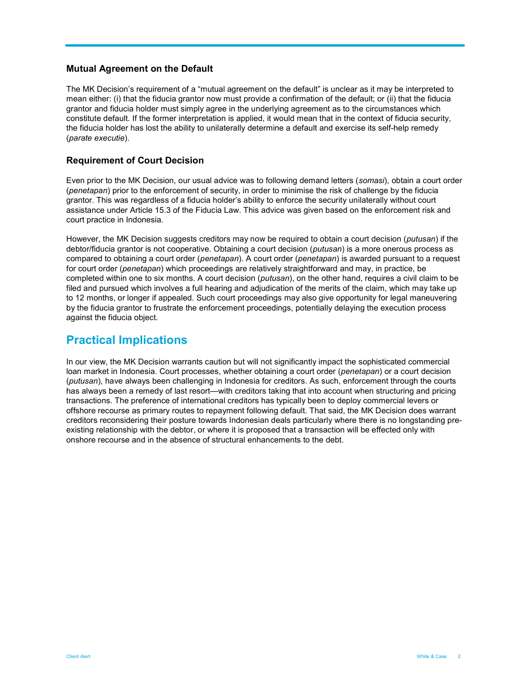### Mutual Agreement on the Default

The MK Decision's requirement of a "mutual agreement on the default" is unclear as it may be interpreted to mean either: (i) that the fiducia grantor now must provide a confirmation of the default; or (ii) that the fiducia grantor and fiducia holder must simply agree in the underlying agreement as to the circumstances which constitute default. If the former interpretation is applied, it would mean that in the context of fiducia security, the fiducia holder has lost the ability to unilaterally determine a default and exercise its self-help remedy (parate executie).

## Requirement of Court Decision

Even prior to the MK Decision, our usual advice was to following demand letters (somasi), obtain a court order (penetapan) prior to the enforcement of security, in order to minimise the risk of challenge by the fiducia grantor. This was regardless of a fiducia holder's ability to enforce the security unilaterally without court assistance under Article 15.3 of the Fiducia Law. This advice was given based on the enforcement risk and court practice in Indonesia.

However, the MK Decision suggests creditors may now be required to obtain a court decision (*putusan*) if the debtor/fiducia grantor is not cooperative. Obtaining a court decision (*putusan*) is a more onerous process as compared to obtaining a court order (penetapan). A court order (penetapan) is awarded pursuant to a request for court order (penetapan) which proceedings are relatively straightforward and may, in practice, be completed within one to six months. A court decision (*putusan*), on the other hand, requires a civil claim to be filed and pursued which involves a full hearing and adjudication of the merits of the claim, which may take up to 12 months, or longer if appealed. Such court proceedings may also give opportunity for legal maneuvering by the fiducia grantor to frustrate the enforcement proceedings, potentially delaying the execution process against the fiducia object.

## Practical Implications

In our view, the MK Decision warrants caution but will not significantly impact the sophisticated commercial loan market in Indonesia. Court processes, whether obtaining a court order (penetapan) or a court decision (putusan), have always been challenging in Indonesia for creditors. As such, enforcement through the courts has always been a remedy of last resort—with creditors taking that into account when structuring and pricing transactions. The preference of international creditors has typically been to deploy commercial levers or offshore recourse as primary routes to repayment following default. That said, the MK Decision does warrant creditors reconsidering their posture towards Indonesian deals particularly where there is no longstanding preexisting relationship with the debtor, or where it is proposed that a transaction will be effected only with onshore recourse and in the absence of structural enhancements to the debt.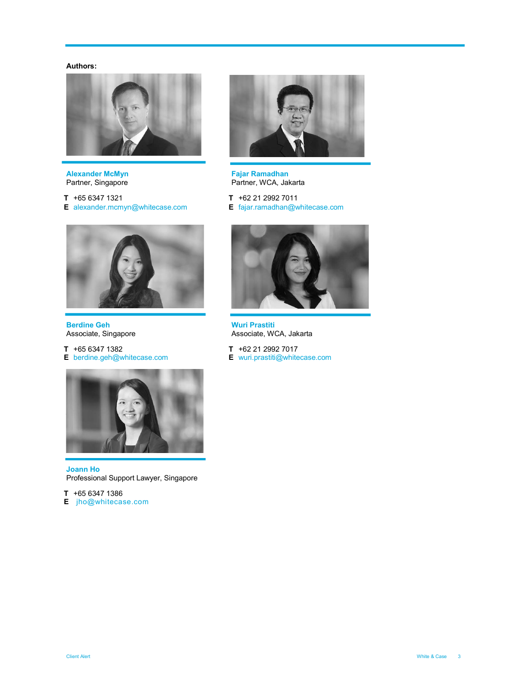#### Authors:



**Alexander McMyn**<br>Partner, Singapore

T +65 6347 1321 E alexander.mcmyn@whitecase.com



Fajar Ramadhan Partner, WCA, Jakarta

T +62 21 2992 7011 E fajar.ramadhan@whitecase.com



Berdine Geh Associate, Singapore

T +65 6347 1382 E berdine.geh@whitecase.com



Joann Ho Professional Support Lawyer, Singapore

 $T$  +65 6347 1386

E jho@whitecase.com



Wuri Prastiti Associate, WCA, Jakarta

- T +62 21 2992 7017
- E wuri.prastiti@whitecase.com